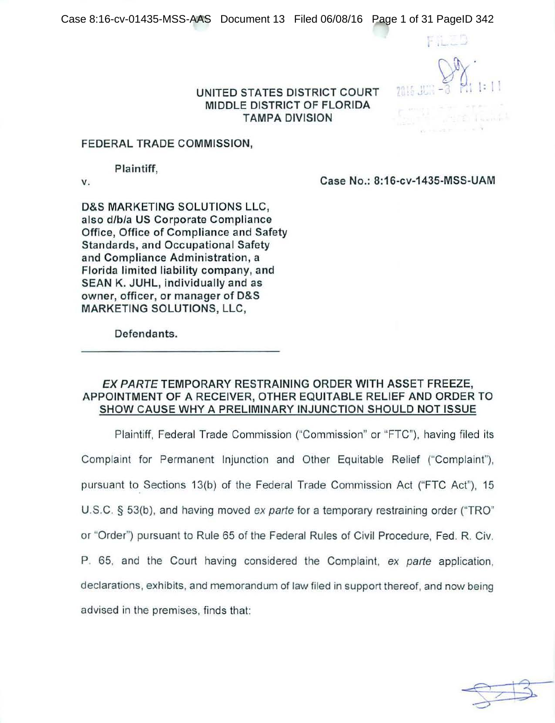FILED

. . .J

### UNITED STATES DISTRICT COURT MIDDLE DISTRICT OF FLORIDA TAMPA DIVISION

## FEDERAL TRADE COMMISSION,

Plaintiff,

v. Case No.: 8:16-cv-1435-MSS-UAM

D&S MARKETING SOLUTIONS LLC, also d/b/a US Corporate Compliance Office, Office of Compliance and Safety Standards, and Occupational Safety and Compliance Administration, a Florida limited liability company, and SEAN K. JUHL, individually and as owner, officer, or manager of D&S MARKETING SOLUTIONS, LLC,

Defendants.

## EX PARTE TEMPORARY RESTRAINING ORDER WITH ASSET FREEZE, APPOINTMENT OF A RECEIVER, OTHER EQUITABLE RELIEF AND ORDER TO SHOW CAUSE WHY A PRELIMINARY INJUNCTION SHOULD NOT ISSUE

Plaintiff, Federal Trade Commission ("Commission" or "FTC"), having filed its Complaint for Permanent Injunction and Other Equitable Relief ("Complaint"), pursuant to Sections 13(b) of the Federal Trade Commission Act ("FTC Act"), 15 U.S.C. § 53(b), and having moved ex parte for a temporary restraining order ("TRO" or ''Order") pursuant to Rule 65 of the Federal Rules of Civil Procedure, Fed. R. Civ. P. 65, and the Court having considered the Complaint, ex parte application, declarations, exhibits, and memorandum of law filed in support thereof, and now being advised in the premises, finds that:

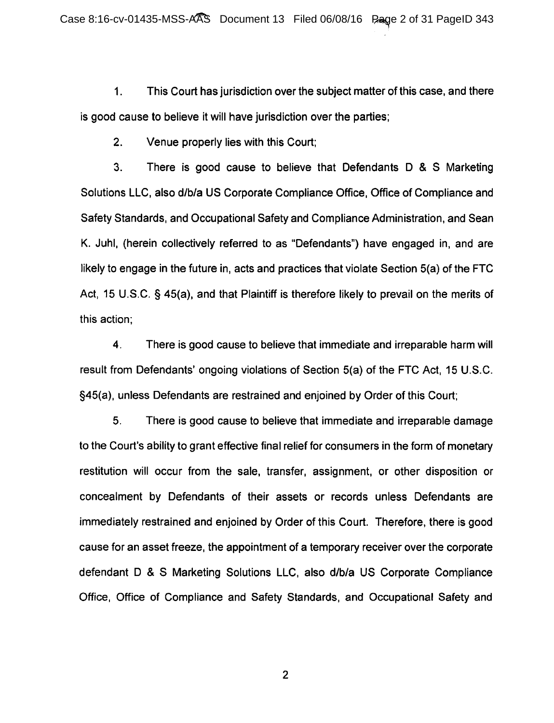1. This Court has jurisdiction over the subject matter of this case, and there is good cause to believe it will have jurisdiction over the parties;

2. Venue properly lies with this Court;

3. There is good cause to believe that Defendants D & S Marketing Solutions LLC, also d/b/a US Corporate Compliance Office, Office of Compliance and Safety Standards, and Occupational Safety and Compliance Administration, and Sean K. Juhl, (herein collectively referred to as "Defendants") have engaged in, and are likely to engage in the future in, acts and practices that violate Section 5(a) of the FTC Act, 15 U.S.C. § 45(a), and that Plaintiff is therefore likely to prevail on the merits of this action;

4. There is good cause to believe that immediate and irreparable harm will result from Defendants' ongoing violations of Section 5(a) of the FTC Act, 15 U.S.C. §45(a), unless Defendants are restrained and enjoined by Order of this Court;

5. There is good cause to believe that immediate and irreparable damage to the Court's ability to grant effective final relief for consumers in the form of monetary restitution will occur from the sale, transfer, assignment, or other disposition or concealment by Defendants of their assets or records unless Defendants are immediately restrained and enjoined by Order of this Court. Therefore, there is good cause for an asset freeze, the appointment of a temporary receiver over the corporate defendant D & S Marketing Solutions LLC, also d/b/a US Corporate Compliance Office, Office of Compliance and Safety Standards, and Occupational Safety and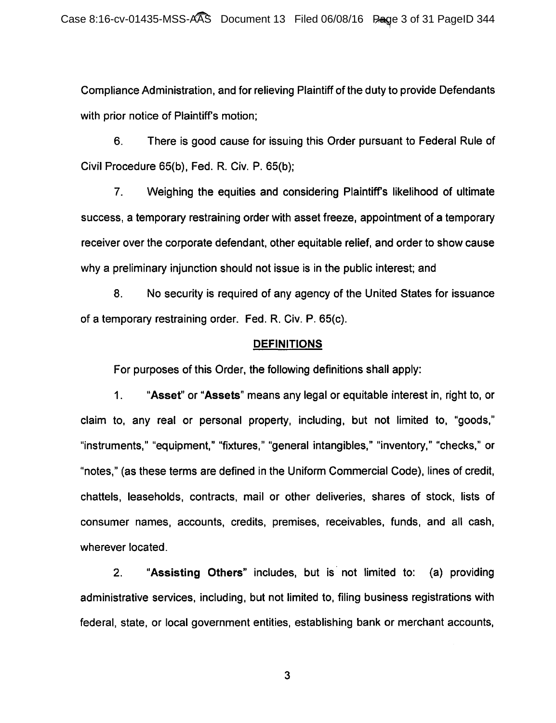Compliance Administration, and for relieving Plaintiff of the duty to provide Defendants with prior notice of Plaintiff's motion;

6. There is good cause for issuing this Order pursuant to Federal Rule of Civil Procedure 65(b), Fed. R. Civ. P. 65(b);

7. Weighing the equities and considering Plaintiffs likelihood of ultimate success, a temporary restraining order with asset freeze, appointment of a temporary receiver over the corporate defendant, other equitable relief, and order to show cause why a preliminary injunction should not issue is in the public interest; and

8. No security is required of any agency of the United States for issuance of a temporary restraining order. Fed. R. Civ. P. 65(c).

### **DEFINITIONS**

For purposes of this Order, the following definitions shall apply:

1. "Asset" or "Assets" means any legal or equitable interest in, right to, or claim to, any real or personal property, including, but not limited to, "goods," "instruments," "equipment," "fixtures," "general intangibles," "inventory," "checks," or "notes," (as these terms are defined in the Uniform Commercial Code), lines of credit, chattels, leaseholds, contracts, mail or other deliveries, shares of stock, lists of consumer names, accounts, credits, premises, receivables, funds, and all cash, wherever located.

2. "Assisting Others" includes, but is· not limited to: (a) providing administrative services, including, but not limited to, filing business registrations with federal, state, or local government entities, establishing bank or merchant accounts,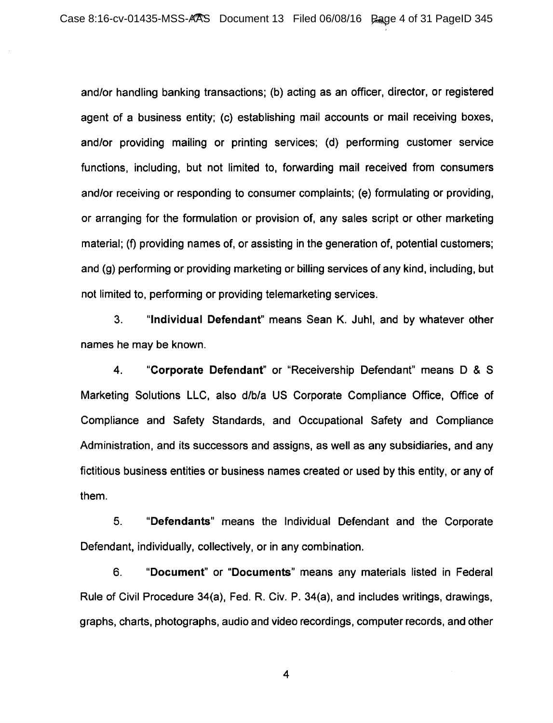and/or handling banking transactions; (b) acting as an officer, director, or registered agent of a business entity; (c) establishing mail accounts or mail receiving boxes, and/or providing mailing or printing services; (d) performing customer service functions, including, but not limited to, forwarding mail received from consumers and/or receiving or responding to consumer complaints; (e) formulating or providing, or arranging for the formulation or provision of, any sales script or other marketing material; (f) providing names of, or assisting in the generation of, potential customers; and (g) performing or providing marketing or billing services of any kind, including, but not limited to, performing or providing telemarketing services.

3. "Individual Defendant" means Sean K. Juhl, and by whatever other names he may be known.

4. "Corporate Defendant" or "Receivership Defendant" means D & S Marketing Solutions LLC, also d/b/a US Corporate Compliance Office, Office of Compliance and Safety Standards, and Occupational Safety and Compliance Administration, and its successors and assigns, as well as any subsidiaries, and any fictitious business entities or business names created or used by this entity, or any of them.

5. "Defendants" means the Individual Defendant and the Corporate Defendant, individually, collectively, or in any combination.

6. "Document" or "Documents" means any materials listed in Federal Rule of Civil Procedure 34(a), Fed. R. Civ. P. 34(a), and includes writings, drawings, graphs, charts, photographs, audio and video recordings, computer records, and other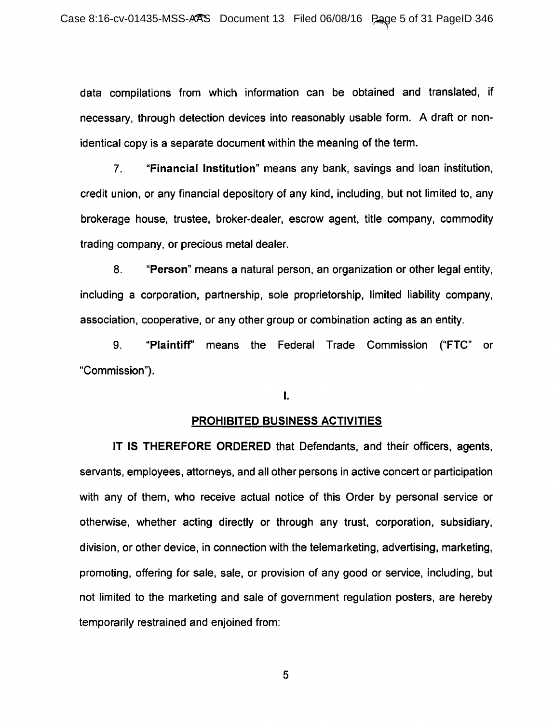data compilations from which information can be obtained and translated, if necessary, through detection devices into reasonably usable form. A draft or nonidentical copy is a separate document within the meaning of the term.

7. "Financial Institution" means any bank, savings and loan institution, credit union, or any financial depository of any kind, including, but not limited to, any brokerage house, trustee, broker-dealer, escrow agent, title company, commodity trading company, or precious metal dealer.

8. "Person" means a natural person, an organization or other legal entity, including a corporation, partnership, sole proprietorship, limited liability company, association, cooperative, or any other group or combination acting as an entity.

9. "Plaintiff' means the Federal Trade Commission ("FTC" or "Commission").

I.

### PROHIBITED BUSINESS ACTIVITIES

IT IS THEREFORE ORDERED that Defendants, and their officers, agents, servants, employees, attorneys, and all other persons in active concert or participation with any of them, who receive actual notice of this Order by personal service or otherwise, whether acting directly or through any trust, corporation, subsidiary, division, or other device, in connection with the telemarketing, advertising, marketing, promoting, offering for sale, sale, or provision of any good or service, including, but not limited to the marketing and sale of government regulation posters, are hereby temporarily restrained and enjoined from: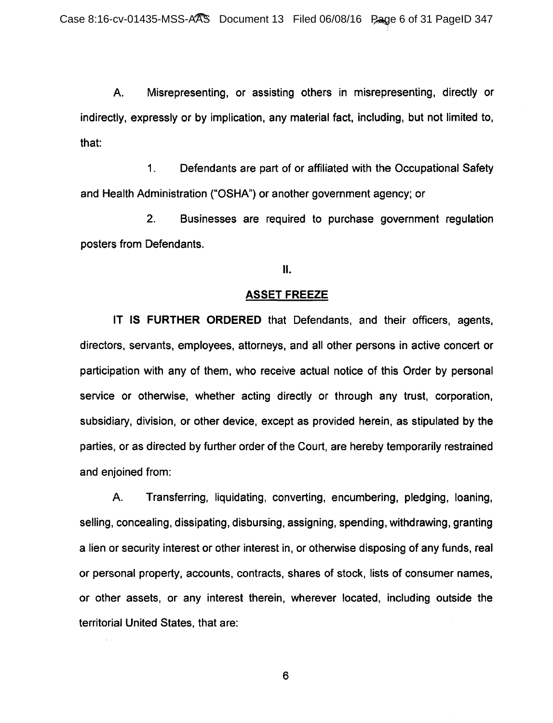A. Misrepresenting, or assisting others in misrepresenting, directly or indirectly, expressly or by implication, any material fact, including, but not limited to, that:

1. Defendants are part of or affiliated with the Occupational Safety and Health Administration ("OSHA") or another government agency; or

2. Businesses are required to purchase government regulation posters from Defendants.

### II.

#### **ASSET FREEZE**

IT IS **FURTHER ORDERED** that Defendants, and their officers, agents, directors, servants, employees, attorneys, and all other persons in active concert or participation with any of them, who receive actual notice of this Order by personal service or otherwise, whether acting directly or through any trust, corporation, subsidiary, division, or other device, except as provided herein, as stipulated by the parties, or as directed by further order of the Court, are hereby temporarily restrained and enjoined from:

A. Transferring, liquidating, converting, encumbering, pledging, loaning, selling, concealing, dissipating, disbursing, assigning, spending, withdrawing, granting a lien or security interest or other interest in, or otherwise disposing of any funds, real or personal property, accounts, contracts, shares of stock, lists of consumer names, or other assets, or any interest therein, wherever located, including outside the territorial United States, that are: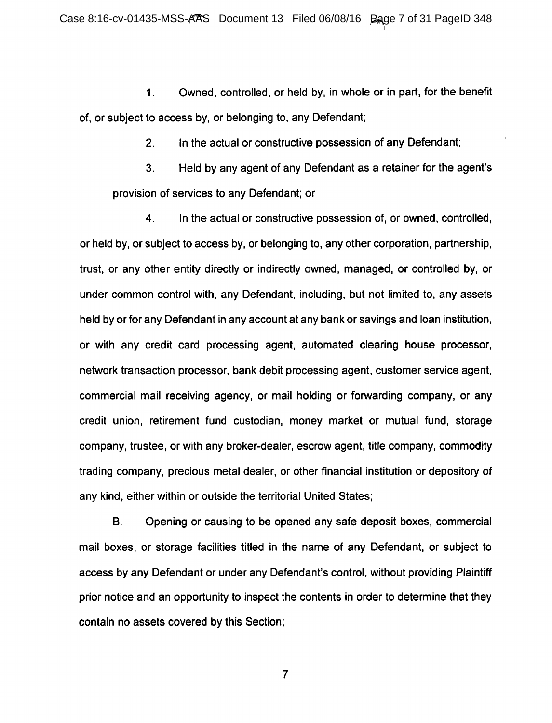1. Owned, controlled, or held by, in whole or in part, for the benefit of, or subject to access by, or belonging to, any Defendant;

2. In the actual or constructive possession of any Defendant;

3. Held by any agent of any Defendant as a retainer for the agent's provision of services to any Defendant; or

4. In the actual or constructive possession of, or owned, controlled, or held by, or subject to access by, or belonging to, any other corporation, partnership, trust, or any other entity directly or indirectly owned, managed, or controlled by, or under common control with, any Defendant, including, but not limited to, any assets held by or for any Defendant in any account at any bank or savings and loan institution, or with any credit card processing agent, automated clearing house processor, network transaction processor, bank debit processing agent, customer service agent, commercial mail receiving agency, or mail holding or forwarding company, or any credit union, retirement fund custodian, money market or mutual fund, storage company, trustee, or with any broker-dealer, escrow agent, title company, commodity trading company, precious metal dealer, or other financial institution or depository of any kind, either within or outside the territorial United States;

B. Opening or causing to be opened any safe deposit boxes, commercial mail boxes, or storage facilities titled in the name of any Defendant, or subject to access by any Defendant or under any Defendant's control, without providing Plaintiff prior notice and an opportunity to inspect the contents in order to determine that they contain no assets covered by this Section;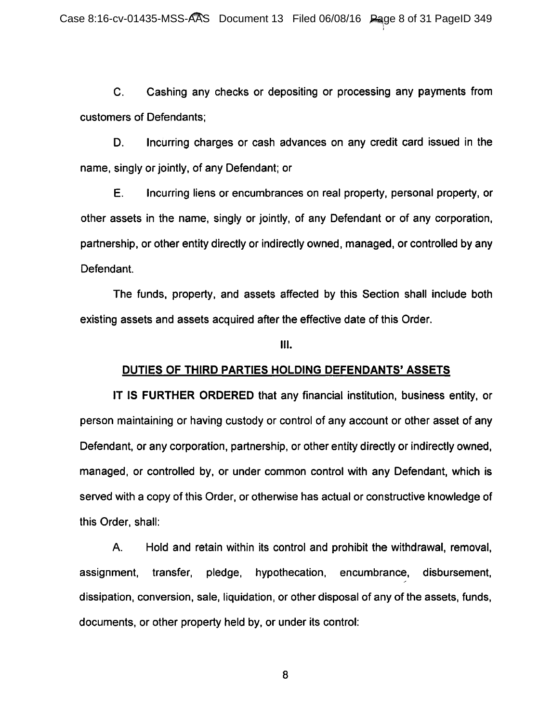C. Cashing any checks or depositing or processing any payments from customers of Defendants;

D. Incurring charges or cash advances on any credit card issued in the name, singly or jointly, of any Defendant; or

E. Incurring liens or encumbrances on real property, personal property, or other assets in the name, singly or jointly, of any Defendant or of any corporation, partnership, or other entity directly or indirectly owned, managed, or controlled by any Defendant.

The funds, property, and assets affected by this Section shall include both existing assets and assets acquired after the effective date of this Order.

Ill.

#### **DUTIES OF THIRD PARTIES HOLDING DEFENDANTS' ASSETS**

IT IS **FURTHER ORDERED** that any financial institution, business entity, or person maintaining or having custody or control of any account or other asset of any Defendant, or any corporation, partnership, or other entity directly or indirectly owned, managed, or controlled by, or under common control with any Defendant, which is served with a copy of this Order, or otherwise has actual or constructive knowledge of this Order, shall:

A. Hold and retain within its control and prohibit the withdrawal, removal, assignment, transfer, pledge, hypothecation, encumbrance, disbursement, dissipation, conversion, sale, liquidation, or other disposal of any of the assets, funds, documents, or other property held by, or under its control: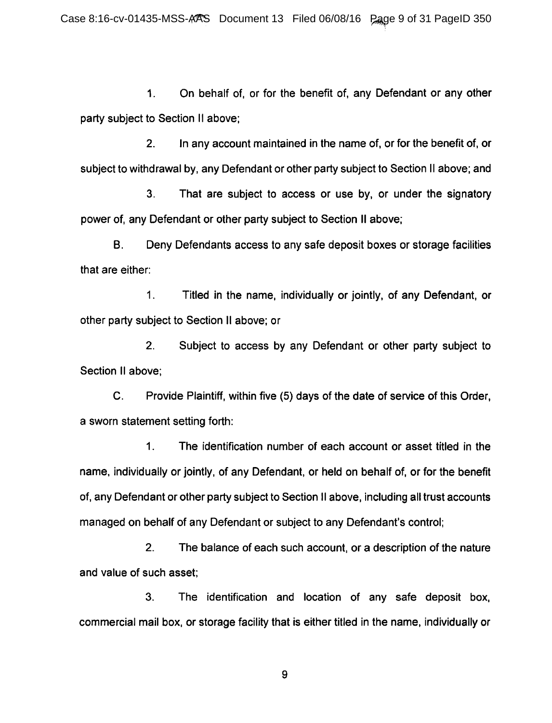1. On behalf of, or for the benefit of, any Defendant or any other party subject to Section 11 above;

2. In any account maintained in the name of, or for the benefit of, or subject to withdrawal by, any Defendant or other party subject to Section II above; and

3. That are subject to access or use by, or under the signatory power of, any Defendant or other party subject to Section II above;

B. Deny Defendants access to any safe deposit boxes or storage facilities that are either:

1. Titled in the name, individually or jointly, of any Defendant, or other party subject to Section II above; or

2. Subject to access by any Defendant or other party subject to Section II above:

C. Provide Plaintiff, within five (5) days of the date of service of this Order, a sworn statement setting forth:

1. The identification number of each account or asset titled in the name, individually or jointly, of any Defendant, or held on behalf of, or for the benefit of, any Defendant or other party subject to Section II above, including all trust accounts managed on behalf of any Defendant or subject to any Defendant's control;

2. The balance of each such account, or a description of the nature and value of such asset;

3. The identification and location of any safe deposit box, commercial mail box, or storage facility that is either titled in the name, individually or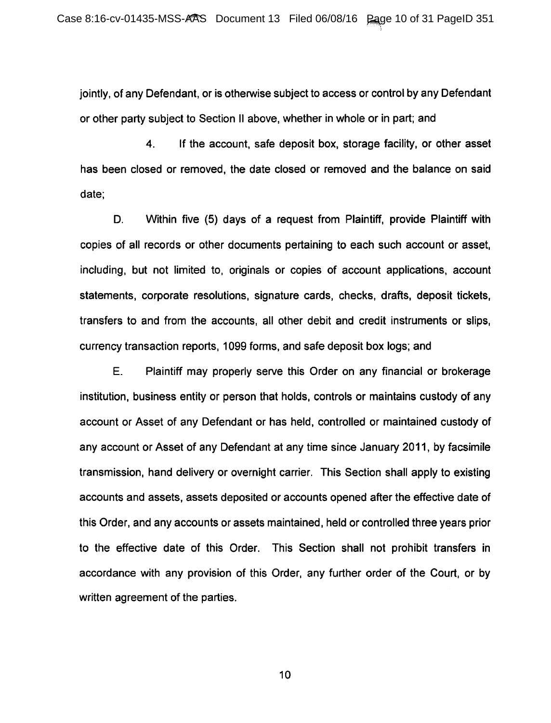jointly, of any Defendant, or is otherwise subject to access or control by any Defendant or other party subject to Section II above, whether in whole or in part; and

4. If the account, safe deposit box, storage facility, or other asset has been closed or removed, the date closed or removed and the balance on said date;

D. Within five (5) days of a request from Plaintiff, provide Plaintiff with copies of all records or other documents pertaining to each such account or asset, including, but not limited to, originals or copies of account applications, account statements, corporate resolutions, signature cards, checks, drafts, deposit tickets, transfers to and from the accounts, all other debit and credit instruments or slips, currency transaction reports, 1099 forms, and safe deposit box logs; and

E. Plaintiff may properly serve this Order on any financial or brokerage institution, business entity or person that holds, controls or maintains custody of any account or Asset of any Defendant or has held, controlled or maintained custody of any account or Asset of any Defendant at any time since January 2011, by facsimile transmission, hand delivery or overnight carrier. This Section shall apply to existing accounts and assets, assets deposited or accounts opened after the effective date of this Order, and any accounts or assets maintained, held or controlled three years prior to the effective date of this Order. This Section shall not prohibit transfers in accordance with any provision of this Order, any further order of the Court, or by written agreement of the parties.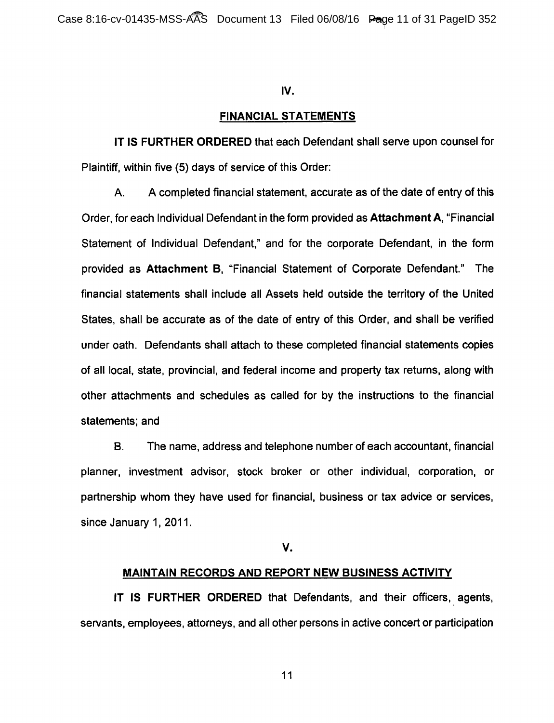### IV.

### FINANCIAL STATEMENTS

IT IS FURTHER ORDERED that each Defendant shall serve upon counsel for Plaintiff, within five (5) days of service of this Order:

A. A completed financial statement, accurate as of the date of entry of this Order, for each Individual Defendant in the form provided as Attachment A, "Financial Statement of Individual Defendant," and for the corporate Defendant, in the form provided as Attachment B, "Financial Statement of Corporate Defendant." The financial statements shall include all Assets held outside the territory of the United States, shall be accurate as of the date of entry of this Order, and shall be verified under oath. Defendants shall attach to these completed financial statements copies of all local, state, provincial, and federal income and property tax returns, along with other attachments and schedules as called for by the instructions to the financial statements; and

8. The name, address and telephone number of each accountant, financial planner, investment advisor, stock broker or other individual, corporation, or partnership whom they have used for financial, business or tax advice or services, since January 1, 2011.

v.

### MAINTAIN RECORDS AND REPORT NEW BUSINESS ACTIVITY

IT IS FURTHER ORDERED that Defendants, and their officers, agents, servants, employees, attorneys, and all other persons in active concert or participation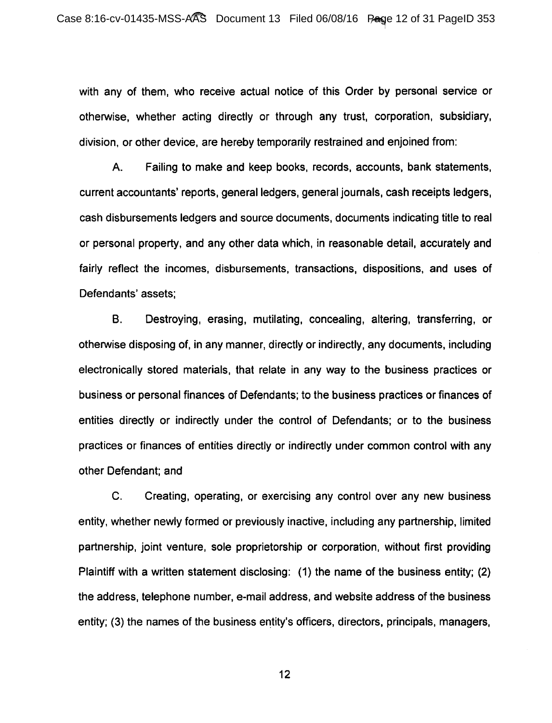with any of them, who receive actual notice of this Order by personal service or otherwise, whether acting directly or through any trust, corporation, subsidiary, division, or other device, are hereby temporarily restrained and enjoined from:

A. Failing to make and keep books, records, accounts, bank statements, current accountants' reports, general ledgers, general journals, cash receipts ledgers, cash disbursements ledgers and source documents, documents indicating title to real or personal property, and any other data which, in reasonable detail, accurately and fairly reflect the incomes, disbursements, transactions, dispositions, and uses of Defendants' assets;

B. Destroying, erasing, mutilating, concealing, altering, transferring, or otherwise disposing of, in any manner, directly or indirectly, any documents, including electronically stored materials, that relate in any way to the business practices or business or personal finances of Defendants; to the business practices or finances of entities directly or indirectly under the control of Defendants; or to the business practices or finances of entities directly or indirectly under common control with any other Defendant; and

C. Creating, operating, or exercising any control over any new business entity, whether newly formed or previously inactive, including any partnership, limited partnership, joint venture, sole proprietorship or corporation, without first providing Plaintiff with a written statement disclosing: (1) the name of the business entity; (2) the address, telephone number, e-mail address, and website address of the business entity; (3) the names of the business entity's officers, directors, principals, managers,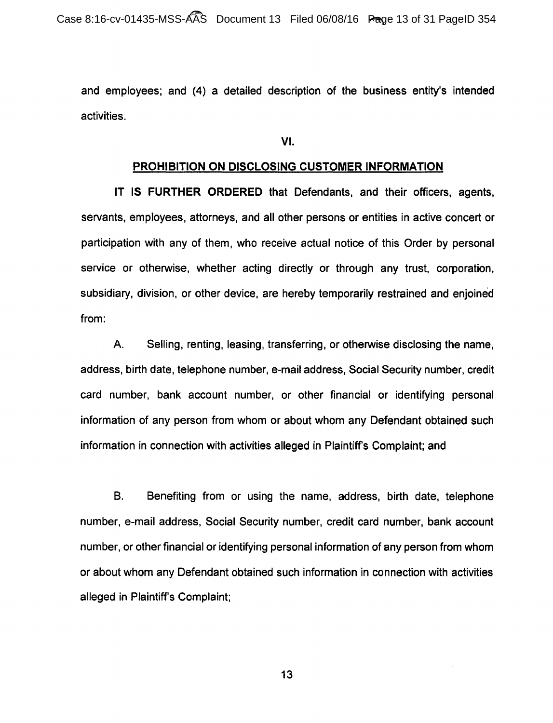and employees; and (4) a detailed description of the business entity's intended activities.

VI.

#### PROHIBITION ON DISCLOSING CUSTOMER INFORMATION

IT IS FURTHER ORDERED that Defendants, and their officers, agents, servants, employees, attorneys, and all other persons or entities in active concert or participation with any of them, who receive actual notice of this Order by personal service or otherwise, whether acting directly or through any trust, corporation, subsidiary, division, or other device, are hereby temporarily restrained and enjoined from:

A. Selling, renting, leasing, transferring, or otherwise disclosing the name, address, birth date, telephone number, e-mail address, Social Security number, credit card number, bank account number, or other financial or identifying personal information of any person from whom or about whom any Defendant obtained such information in connection with activities alleged in Plaintiff's Complaint; and

B. Benefiting from or using the name, address, birth date, telephone number, e-mail address, Social Security number, credit card number, bank account number, or other financial or identifying personal information of any person from whom or about whom any Defendant obtained such information in connection with activities alleged in Plaintiff's Complaint;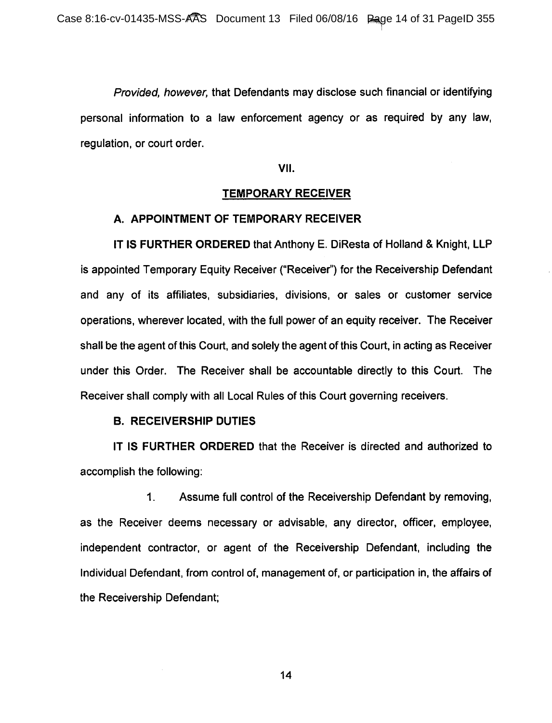Provided, however, that Defendants may disclose such financial or identifying personal information to a law enforcement agency or as required by any law, regulation, or court order.

VII.

#### TEMPORARY RECEIVER

### A. APPOINTMENT OF TEMPORARY RECEIVER

IT IS FURTHER ORDERED that Anthony E. DiResta of Holland & Knight, LLP is appointed Temporary Equity Receiver ("Receiver") for the Receivership Defendant and any of its affiliates, subsidiaries, divisions, or sales or customer service operations, wherever located, with the full power of an equity receiver. The Receiver shall be the agent of this Court, and solely the agent of this Court, in acting as Receiver under this Order. The Receiver shall be accountable directly to this Court. The Receiver shall comply with all Local Rules of this Court governing receivers.

#### B. RECEIVERSHIP DUTIES

IT IS FURTHER ORDERED that the Receiver is directed and authorized to accomplish the following:

1. Assume full control of the Receivership Defendant by removing, as the Receiver deems necessary or advisable, any director, officer, employee, independent contractor, or agent of the Receivership Defendant, including the Individual Defendant, from control of, management of, or participation in, the affairs of the Receivership Defendant;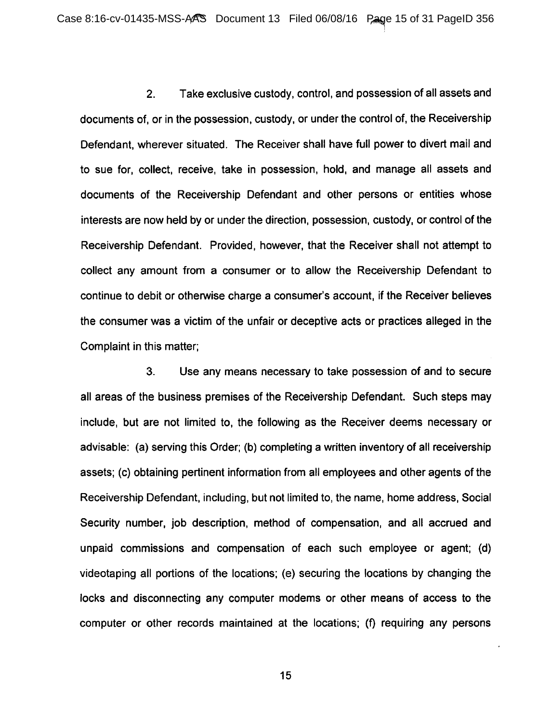2. Take exclusive custody, control, and possession of all assets and documents of, or in the possession, custody, or under the control of, the Receivership Defendant, wherever situated. The Receiver shall have full power to divert mail and to sue for, collect, receive, take in possession, hold, and manage all assets and documents of the Receivership Defendant and other persons or entities whose interests are now held by or under the direction, possession, custody, or control of the Receivership Defendant. Provided, however, that the Receiver shall not attempt to collect any amount from a consumer or to allow the Receivership Defendant to continue to debit or otherwise charge a consumer's account, if the Receiver believes the consumer was a victim of the unfair or deceptive acts or practices alleged in the Complaint in this matter;

3. Use any means necessary to take possession of and to secure all areas of the business premises of the Receivership Defendant. Such steps may include, but are not limited to, the following as the Receiver deems necessary or advisable: (a) serving this Order; (b) completing a written inventory of all receivership assets; (c) obtaining pertinent information from all employees and other agents of the Receivership Defendant, including, but not limited to, the name, home address, Social Security number, job description, method of compensation, and all accrued and unpaid commissions and compensation of each such employee or agent; (d) videotaping all portions of the locations; (e) securing the locations by changing the locks and disconnecting any computer modems or other means of access to the computer or other records maintained at the locations; (f) requiring any persons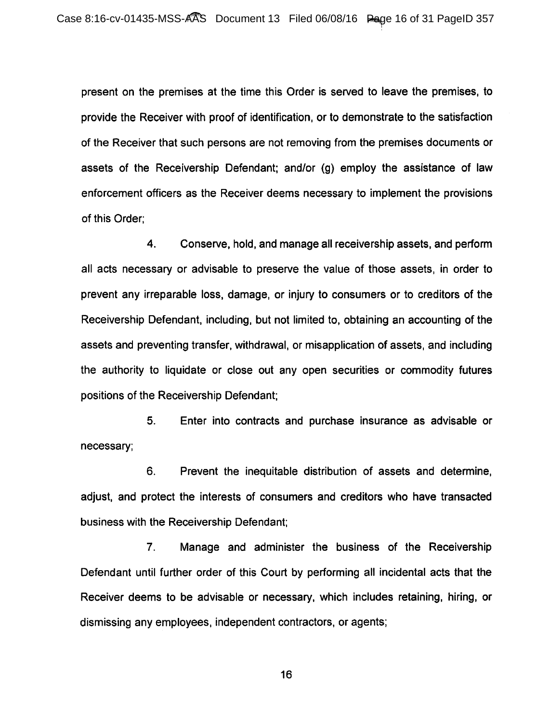present on the premises at the time this Order is served to leave the premises, to provide the Receiver with proof of identification, or to demonstrate to the satisfaction of the Receiver that such persons are not removing from the premises documents or assets of the Receivership Defendant; and/or (g) employ the assistance of law enforcement officers as the Receiver deems necessary to implement the provisions of this Order;

4. Conserve, hold, and manage all receivership assets, and perform all acts necessary or advisable to preserve the value of those assets, in order to prevent any irreparable loss, damage, or injury to consumers or to creditors of the Receivership Defendant, including, but not limited to, obtaining an accounting of the assets and preventing transfer, withdrawal, or misapplication of assets, and including the authority to liquidate or close out any open securities or commodity futures positions of the Receivership Defendant;

5. Enter into contracts and purchase insurance as advisable or necessary;

6. Prevent the inequitable distribution of assets and determine, adjust, and protect the interests of consumers and creditors who have transacted business with the Receivership Defendant;

7. Manage and administer the business of the Receivership Defendant until further order of this Court by performing all incidental acts that the Receiver deems to be advisable or necessary, which includes retaining, hiring, or dismissing any employees, independent contractors, or agents;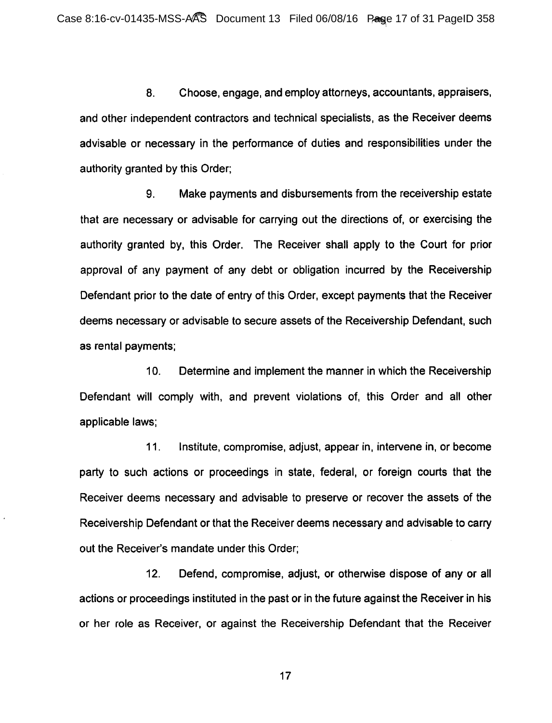8. Choose, engage, and employ attorneys, accountants, appraisers, and other independent contractors and technical specialists, as the Receiver deems advisable or necessary in the performance of duties and responsibilities under the authority granted by this Order;

9. Make payments and disbursements from the receivership estate that are necessary or advisable for carrying out the directions of, or exercising the authority granted by, this Order. The Receiver shall apply to the Court for prior approval of any payment of any debt or obligation incurred by the Receivership Defendant prior to the date of entry of this Order, except payments that the Receiver deems necessary or advisable to secure assets of the Receivership Defendant, such as rental payments;

10. Determine and implement the manner in which the Receivership Defendant will comply with, and prevent violations of, this Order and all other applicable laws;

11. Institute, compromise, adjust, appear in, intervene in, or become party to such actions or proceedings in state, federal, or foreign courts that the Receiver deems necessary and advisable to preserve or recover the assets of the Receivership Defendant or that the Receiver deems necessary and advisable to carry out the Receiver's mandate under this Order;

12. Defend, compromise, adjust, or otherwise dispose of any or all actions or proceedings instituted in the past or in the future against the Receiver in his or her role as Receiver, or against the Receivership Defendant that the Receiver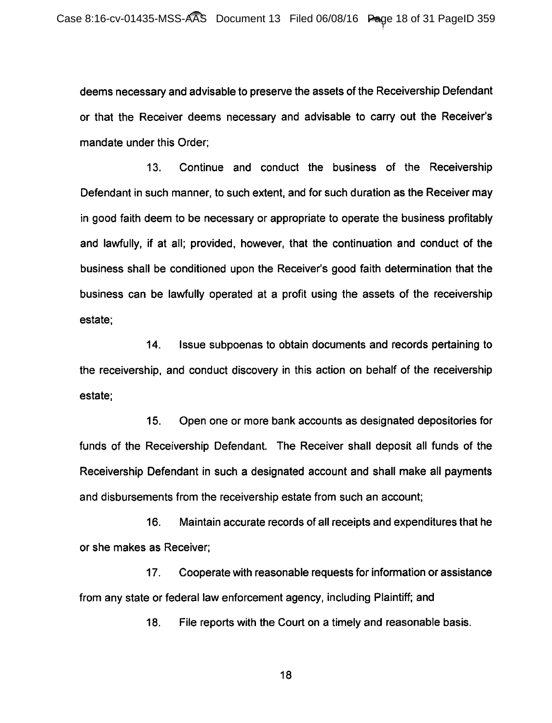deems necessary and advisable to preserve the assets of the Receivership Defendant or that the Receiver deems necessary and advisable to carry out the Receiver's mandate under this Order;

13. Continue and conduct the business of the Receivership Defendant in such manner, to such extent, and for such duration as the Receiver may in good faith deem to be necessary or appropriate to operate the business profitably and lawfully, if at all; provided, however, that the continuation and conduct of the business shall be conditioned upon the Receiver's good faith determination that the business can be lawfully operated at a profit using the assets of the receivership estate;

14. Issue subpoenas to obtain documents and records pertaining to the receivership, and conduct discovery in this action on behalf of the receivership estate;

15. Open one or more bank accounts as designated depositories for funds of the Receivership Defendant. The Receiver shall deposit all funds of the Receivership Defendant in such a designated account and shall make all payments and disbursements from the receivership estate from such an account;

16. Maintain accurate records of all receipts and expenditures that he or she makes as Receiver;

17. Cooperate with reasonable requests for information or assistance from any state or federal law enforcement agency, including Plaintiff; and

18. File reports with the Court on a timely and reasonable basis.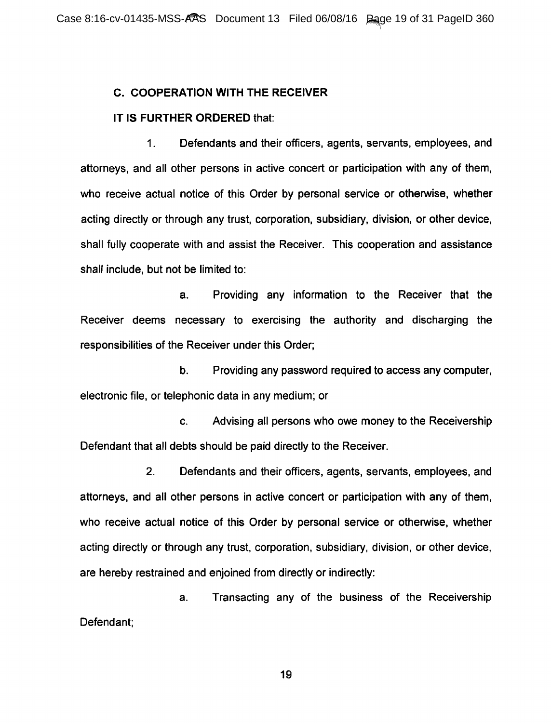## C. COOPERATION WITH THE RECEIVER

### IT IS FURTHER ORDERED that:

1. Defendants and their officers, agents, servants, employees, and attorneys, and all other persons in active concert or participation with any of them, who receive actual notice of this Order by personal service or otherwise, whether acting directly or through any trust, corporation, subsidiary, division, or other device, shall fully cooperate with and assist the Receiver. This cooperation and assistance shall include, but not be limited to:

a. Providing any information to the Receiver that the Receiver deems necessary to exercising the authority and discharging the responsibilities of the Receiver under this Order;

b. Providing any password required to access any computer, electronic file, or telephonic data in any medium; or

c. Advising all persons who owe money to the Receivership Defendant that all debts should be paid directly to the Receiver.

2. Defendants and their officers, agents, servants, employees, and attorneys, and all other persons in active concert or participation with any of them, who receive actual notice of this Order by personal service or otherwise, whether acting directly or through any trust, corporation, subsidiary, division, or other device, are hereby restrained and enjoined from directly or indirectly:

a. Transacting any of the business of the Receivership Defendant;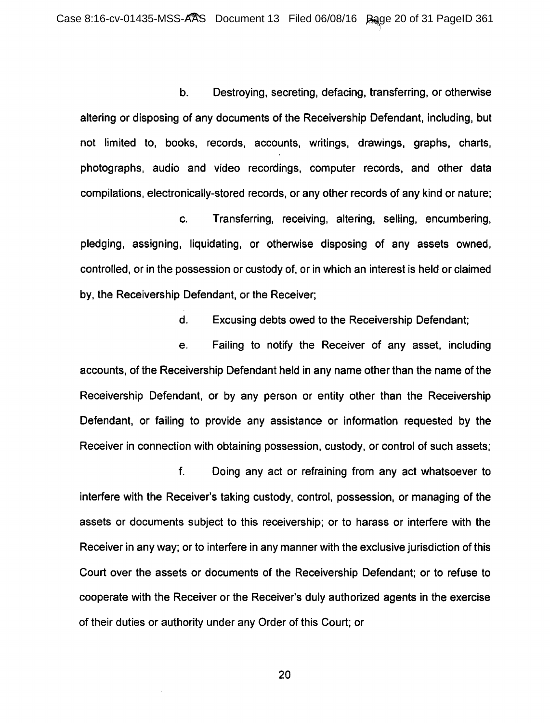b. Destroying, secreting, defacing, transferring, or otherwise altering or disposing of any documents of the Receivership Defendant, including, but not limited to, books, records, accounts, writings, drawings, graphs, charts, photographs, audio and video recordings, computer records, and other data compilations, electronically-stored records, or any other records of any kind or nature;

c. Transferring, receiving, altering, selling, encumbering, pledging, assigning, liquidating, or otherwise disposing of any assets owned, controlled, or in the possession or custody of, or in which an interest is held or claimed by, the Receivership Defendant, or the Receiver;

d. Excusing debts owed to the Receivership Defendant;

e. Failing to notify the Receiver of any asset, including accounts, of the Receivership Defendant held in any name other than the name of the Receivership Defendant, or by any person or entity other than the Receivership Defendant, or failing to provide any assistance or information requested by the Receiver in connection with obtaining possession, custody, or control of such assets;

f. Doing any act or refraining from any act whatsoever to interfere with the Receiver's taking custody, control, possession, or managing of the assets or documents subject to this receivership; or to harass or interfere with the Receiver in any way; or to interfere in any manner with the exclusive jurisdiction of this Court over the assets or documents of the Receivership Defendant; or to refuse to cooperate with the Receiver or the Receiver's duly authorized agents in the exercise of their duties or authority under any Order of this Court; or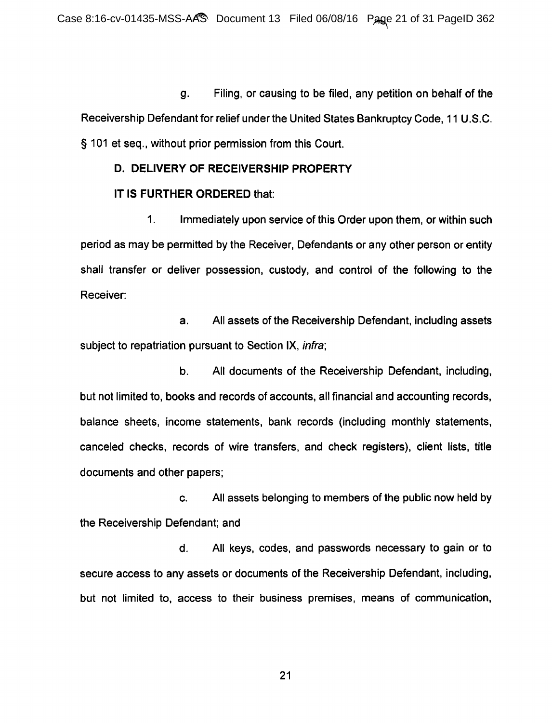g. Filing, or causing to be filed, any petition on behalf of the Receivership Defendant for relief under the United States Bankruptcy Code, 11 U.S.C. § 101 et seq., without prior permission from this Court.

### **D. DELIVERY OF RECEIVERSHIP PROPERTY**

## IT IS **FURTHER ORDERED** that:

1. Immediately upon service of this Order upon them, or within such period as may be permitted by the Receiver, Defendants or any other person or entity shall transfer or deliver possession, custody, and control of the following to the Receiver:

a. All assets of the Receivership Defendant, including assets subject to repatriation pursuant to Section IX, *infra*;

b. All documents of the Receivership Defendant, including, but not limited to, books and records of accounts, all financial and accounting records, balance sheets, income statements, bank records (including monthly statements, canceled checks, records of wire transfers, and check registers), client lists, title documents and other papers;

c. All assets belonging to members of the public now held by the Receivership Defendant; and

d. All keys, codes, and passwords necessary to gain or to secure access to any assets or documents of the Receivership Defendant, including, but not limited to, access to their business premises, means of communication,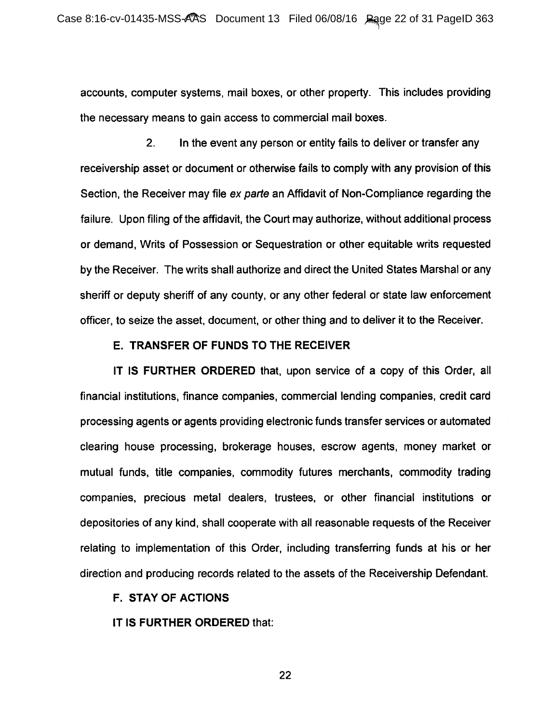accounts, computer systems, mail boxes, or other property. This includes providing the necessary means to gain access to commercial mail boxes.

2. In the event any person or entity fails to deliver or transfer any receivership asset or document or otherwise fails to comply with any provision of this Section, the Receiver may file ex parte an Affidavit of Non-Compliance regarding the failure. Upon filing of the affidavit, the Court may authorize, without additional process or demand, Writs of Possession or Sequestration or other equitable writs requested by the Receiver. The writs shall authorize and direct the United States Marshal or any sheriff or deputy sheriff of any county, or any other federal or state law enforcement officer, to seize the asset, document, or other thing and to deliver it to the Receiver.

## E. TRANSFER OF FUNDS TO THE RECEIVER

IT IS FURTHER ORDERED that, upon service of a copy of this Order, all financial institutions, finance companies, commercial lending companies, credit card processing agents or agents providing electronic funds transfer services or automated clearing house processing, brokerage houses, escrow agents, money market or mutual funds, title companies, commodity futures merchants, commodity trading companies, precious metal dealers, trustees, or other financial institutions or depositories of any kind, shall cooperate with all reasonable requests of the Receiver relating to implementation of this Order, including transferring funds at his or her direction and producing records related to the assets of the Receivership Defendant.

### F. STAY OF ACTIONS

IT IS FURTHER ORDERED that: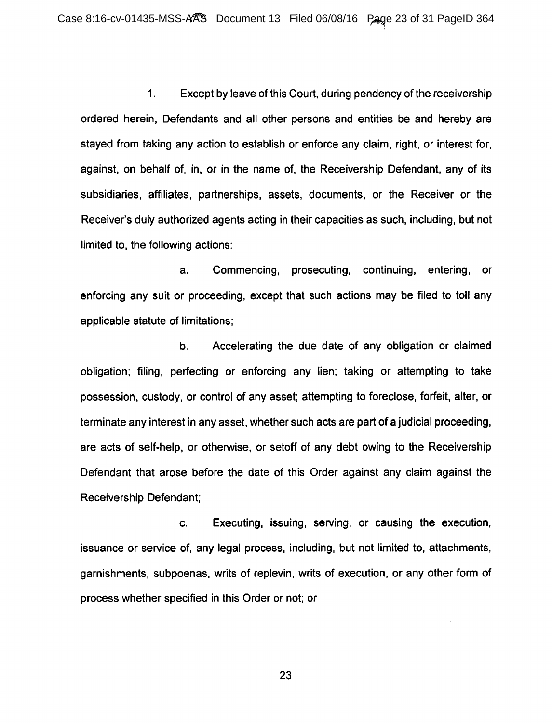1. Except by leave of this Court, during pendency of the receivership ordered herein, Defendants and all other persons and entities be and hereby are stayed from taking any action to establish or enforce any claim, right, or interest for, against, on behalf of, in, or in the name of, the Receivership Defendant, any of its subsidiaries, affiliates, partnerships, assets, documents, or the Receiver or the Receiver's duly authorized agents acting in their capacities as such, including, but not limited to, the following actions:

a. Commencing, prosecuting, continuing, entering, or enforcing any suit or proceeding, except that such actions may be filed to toll any applicable statute of limitations;

b. Accelerating the due date of any obligation or claimed obligation; filing, perfecting or enforcing any lien; taking or attempting to take possession, custody, or control of any asset; attempting to foreclose, forfeit, alter, or terminate any interest in any asset, whether such acts are part of a judicial proceeding, are acts of self-help, or otherwise, or setoff of any debt owing to the Receivership Defendant that arose before the date of this Order against any claim against the Receivership Defendant;

c. Executing, issuing, serving, or causing the execution, issuance or service of, any legal process, including, but not limited to, attachments, garnishments, subpoenas, writs of replevin, writs of execution, or any other form of process whether specified in this Order or not; or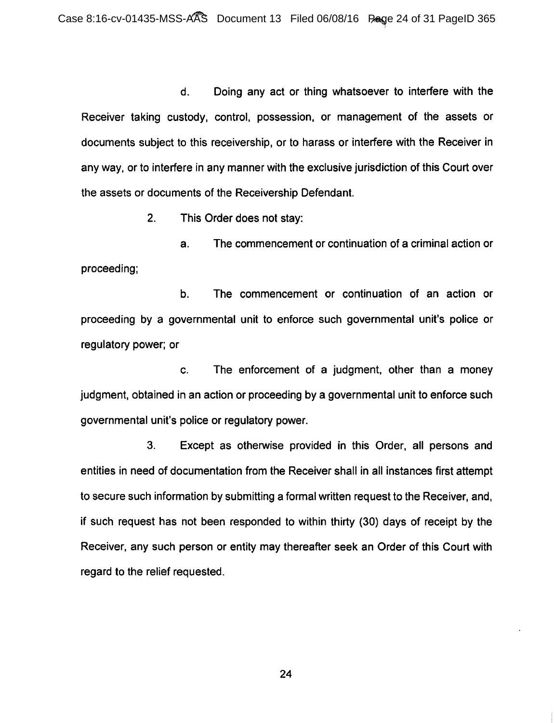d. Doing any act or thing whatsoever to interfere with the Receiver taking custody, control, possession, or management of the assets or documents subject to this receivership, or to harass or interfere with the Receiver in any way, or to interfere in any manner with the exclusive jurisdiction of this Court over the assets or documents of the Receivership Defendant.

2. This Order does not stay:

a. The commencement or continuation of a criminal action or proceeding;

b. The commencement or continuation of an action or proceeding by a governmental unit to enforce such governmental unit's police or regulatory power; or

c. The enforcement of a judgment, other than a money judgment, obtained in an action or proceeding by a governmental unit to enforce such governmental unit's police or regulatory power.

3. Except as otherwise provided in this Order, all persons and entities in need of documentation from the Receiver shall in all instances first attempt to secure such information by submitting a formal written request to the Receiver, and, if such request has not been responded to within thirty (30) days of receipt by the Receiver, any such person or entity may thereafter seek an Order of this Court with regard to the relief requested.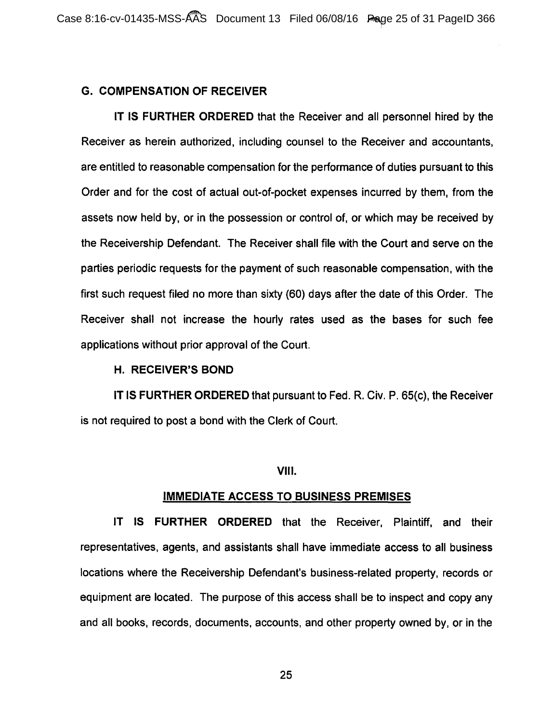## G. COMPENSATION OF RECEIVER

IT IS FURTHER ORDERED that the Receiver and all personnel hired by the Receiver as herein authorized, including counsel to the Receiver and accountants, are entitled to reasonable compensation for the performance of duties pursuant to this Order and for the cost of actual out-of-pocket expenses incurred by them, from the assets now held by, or in the possession or control of, or which may be received by the Receivership Defendant. The Receiver shall file with the Court and serve on the parties periodic requests for the payment of such reasonable compensation, with the first such request filed no more than sixty (60) days after the date of this Order. The Receiver shall not increase the hourly rates used as the bases for such fee applications without prior approval of the Court.

### H. RECEIVER'S BOND

IT IS FURTHER ORDERED that pursuant to Fed. R. Civ. P. 65(c), the Receiver is not required to post a bond with the Clerk of Court.

#### VIII.

### IMMEDIATE ACCESS TO BUSINESS PREMISES

IT IS FURTHER ORDERED that the Receiver, Plaintiff, and their representatives, agents, and assistants shall have immediate access to all business locations where the Receivership Defendant's business-related property, records or equipment are located. The purpose of this access shall be to inspect and copy any and all books, records, documents, accounts, and other property owned by, or in the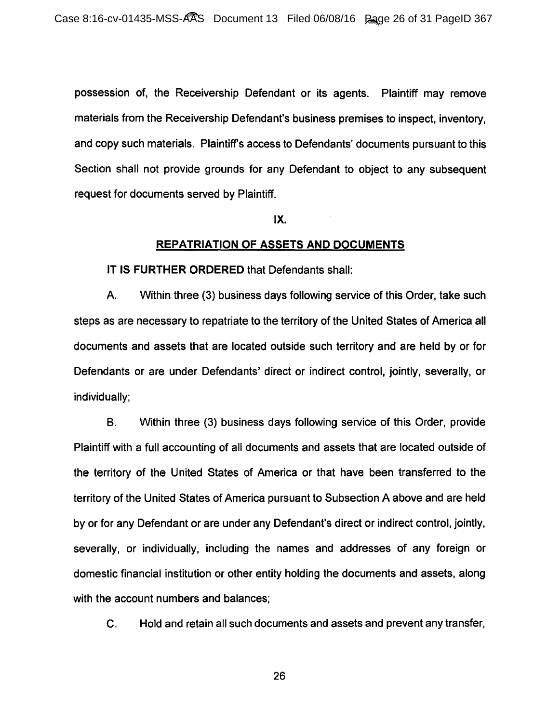possession of, the Receivership Defendant or its agents. Plaintiff may remove materials from the Receivership Defendant's business premises to inspect, inventory, and copy such materials. Plaintiff's access to Defendants' documents pursuant to this Section shall not provide grounds for any Defendant to object to any subsequent request for documents served by Plaintiff.

#### IX.

### **REPATRIATION OF ASSETS AND DOCUMENTS**

#### IT IS **FURTHER ORDERED** that Defendants shall:

A. Within three (3) business days following service of this Order, take such steps as are necessary to repatriate to the territory of the United States of America all documents and assets that are located outside such territory and are held by or for Defendants or are under Defendants' direct or indirect control, jointly, severally, or individually;

B. Within three (3) business days following service of this Order, provide Plaintiff with a full accounting of all documents and assets that are located outside of the territory of the United States of America or that have been transferred to the territory of the United States of America pursuant to Subsection A above and are held by or for any Defendant or are under any Defendant's direct or indirect control, jointly, severally, or individually, including the names and addresses of any foreign or domestic financial institution or other entity holding the documents and assets, along with the account numbers and balances;

C. Hold and retain all such documents and assets and prevent any transfer,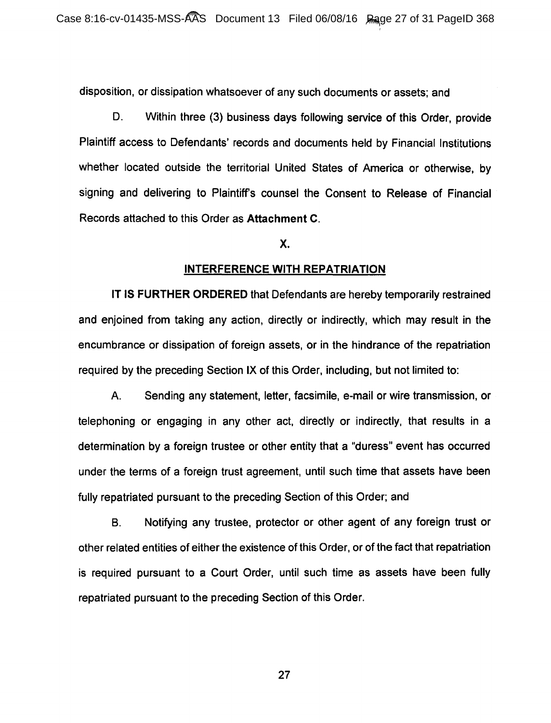disposition, or dissipation whatsoever of any such documents or assets; and

D. Within three (3) business days following service of this Order, provide Plaintiff access to Defendants' records and documents held by Financial Institutions whether located outside the territorial United States of America or otherwise, by signing and delivering to Plaintiff's counsel the Consent to Release of Financial Records attached to this Order as Attachment C.

## x.

#### INTERFERENCE WITH REPATRIATION

IT IS FURTHER ORDERED that Defendants are hereby temporarily restrained and enjoined from taking any action, directly or indirectly, which may result in the encumbrance or dissipation of foreign assets, or in the hindrance of the repatriation required by the preceding Section IX of this Order, including, but not limited to:

A. Sending any statement, letter, facsimile, e-mail or wire transmission, or telephoning or engaging in any other act, directly or indirectly, that results in a determination by a foreign trustee or other entity that a "duress" event has occurred under the terms of a foreign trust agreement, until such time that assets have been fully repatriated pursuant to the preceding Section of this Order; and

B. Notifying any trustee, protector or other agent of any foreign trust or other related entities of either the existence of this Order, or of the fact that repatriation is required pursuant to a Court Order, until such time as assets have been fully repatriated pursuant to the preceding Section of this Order.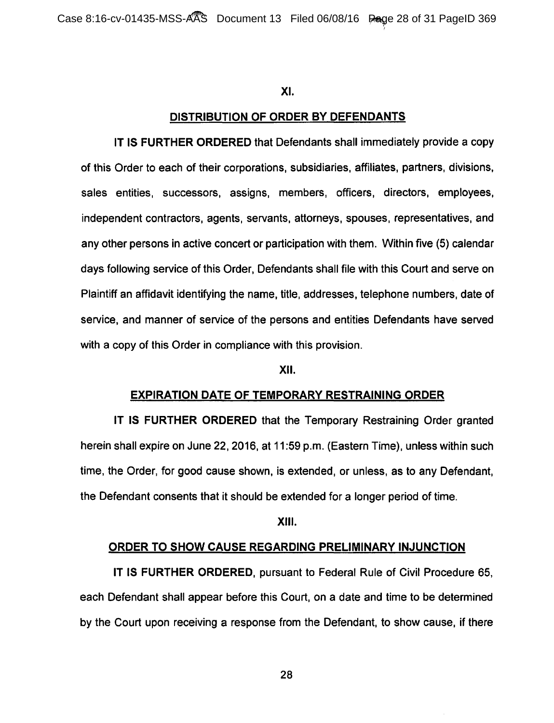### XI.

### DISTRIBUTION OF ORDER BY DEFENDANTS

IT IS FURTHER ORDERED that Defendants shall immediately provide a copy of this Order to each of their corporations, subsidiaries, affiliates, partners, divisions, sales entities, successors, assigns, members, officers, directors, employees, independent contractors, agents, servants, attorneys, spouses, representatives, and any other persons in active concert or participation with them. Within five (5) calendar days following service of this Order, Defendants shall file with this Court and serve on Plaintiff an affidavit identifying the name, title, addresses, telephone numbers, date of service, and manner of service of the persons and entities Defendants have served with a copy of this Order in compliance with this provision.

### XII.

#### EXPIRATION DATE OF TEMPORARY RESTRAINING ORDER

IT IS FURTHER ORDERED that the Temporary Restraining Order granted herein shall expire on June 22, 2016, at 11 :59 p.m. (Eastern Time), unless within such time, the Order, for good cause shown, is extended, or unless, as to any Defendant, the Defendant consents that it should be extended for a longer period of time.

#### XIII.

#### ORDER TO SHOW CAUSE REGARDING PRELIMINARY INJUNCTION

IT IS FURTHER ORDERED, pursuant to Federal Rule of Civil Procedure 65, each Defendant shall appear before this Court, on a date and time to be determined by the Court upon receiving a response from the Defendant, to show cause, if there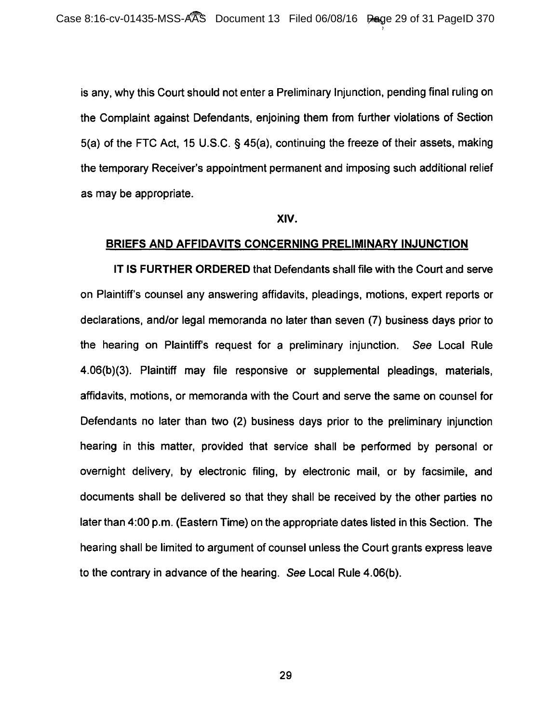is any, why this Court should not enter a Preliminary Injunction, pending final ruling on the Complaint against Defendants, enjoining them from further violations of Section 5(a) of the FTC Act, 15 U.S.C. § 45(a), continuing the freeze of their assets, making the temporary Receiver's appointment permanent and imposing such additional relief as may be appropriate.

#### XIV.

### BRIEFS AND AFFIDAVITS CONCERNING PRELIMINARY INJUNCTION

IT IS FURTHER ORDERED that Defendants shall file with the Court and serve on Plaintiff's counsel any answering affidavits, pleadings, motions, expert reports or declarations, and/or legal memoranda no later than seven (7) business days prior to the hearing on Plaintiff's request for a preliminary injunction. See Local Rule 4.06(b)(3). Plaintiff may file responsive or supplemental pleadings, materials, affidavits, motions, or memoranda with the Court and serve the same on counsel for Defendants no later than two (2) business days prior to the preliminary injunction hearing in this matter, provided that service shall be performed by personal or overnight delivery, by electronic filing, by electronic mail, or by facsimile, and documents shall be delivered so that they shall be received by the other parties no later than 4:00 p.m. (Eastern Time) on the appropriate dates listed in this Section. The hearing shall be limited to argument of counsel unless the Court grants express leave to the contrary in advance of the hearing. See Local Rule 4.06{b).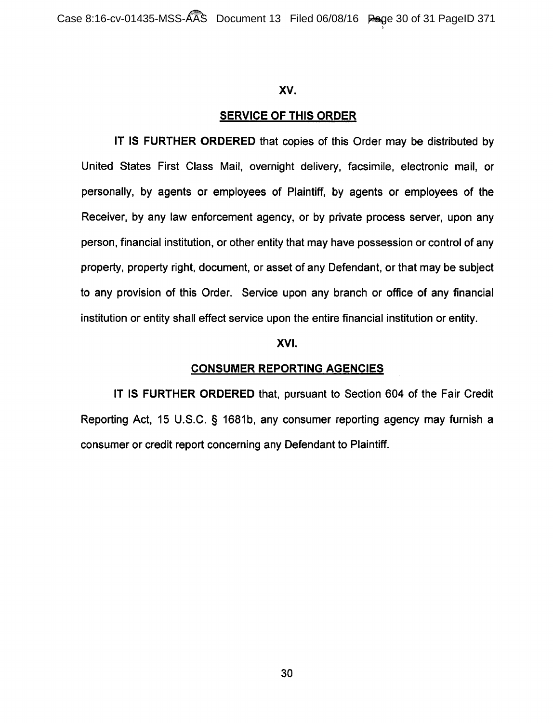### xv.

## SERVICE OF THIS ORDER

IT IS FURTHER ORDERED that copies of this Order may be distributed by United States First Class Mail, overnight delivery, facsimile, electronic mail, or personally, by agents or employees of Plaintiff, by agents or employees of the Receiver, by any law enforcement agency, or by private process server, upon any person, financial institution, or other entity that may have possession or control of any property, property right, document, or asset of any Defendant, or that may be subject to any provision of this Order. Service upon any branch or office of any financial institution or entity shall effect service upon the entire financial institution or entity.

#### XVI.

### CONSUMER REPORTING AGENCIES

IT IS FURTHER ORDERED that, pursuant to Section 604 of the Fair Credit Reporting Act, 15 U.S.C. § 1681b, any consumer reporting agency may furnish a consumer or credit report concerning any Defendant to Plaintiff.